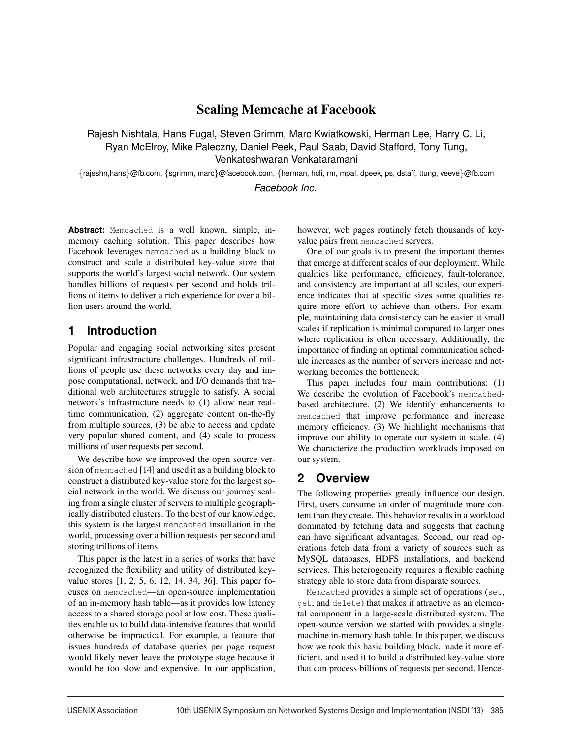# Scaling Memcache at Facebook

Rajesh Nishtala, Hans Fugal, Steven Grimm, Marc Kwiatkowski, Herman Lee, Harry C. Li, Ryan McElroy, Mike Paleczny, Daniel Peek, Paul Saab, David Stafford, Tony Tung, Venkateshwaran Venkataramani

{rajeshn,hans}@fb.com, {sgrimm, marc}@facebook.com, {herman, hcli, rm, mpal, dpeek, ps, dstaff, ttung, veeve}@fb.com

*Facebook Inc.*

**Abstract:** Memcached is a well known, simple, inmemory caching solution. This paper describes how Facebook leverages memcached as a building block to construct and scale a distributed key-value store that supports the world's largest social network. Our system handles billions of requests per second and holds trillions of items to deliver a rich experience for over a billion users around the world.

# **1 Introduction**

Popular and engaging social networking sites present significant infrastructure challenges. Hundreds of millions of people use these networks every day and impose computational, network, and I/O demands that traditional web architectures struggle to satisfy. A social network's infrastructure needs to (1) allow near realtime communication, (2) aggregate content on-the-fly from multiple sources, (3) be able to access and update very popular shared content, and (4) scale to process millions of user requests per second.

We describe how we improved the open source version of memcached [14] and used it as a building block to construct a distributed key-value store for the largest social network in the world. We discuss our journey scaling from a single cluster of servers to multiple geographically distributed clusters. To the best of our knowledge, this system is the largest memcached installation in the world, processing over a billion requests per second and storing trillions of items.

This paper is the latest in a series of works that have recognized the flexibility and utility of distributed keyvalue stores [1, 2, 5, 6, 12, 14, 34, 36]. This paper focuses on memcached—an open-source implementation of an in-memory hash table—as it provides low latency access to a shared storage pool at low cost. These qualities enable us to build data-intensive features that would otherwise be impractical. For example, a feature that issues hundreds of database queries per page request would likely never leave the prototype stage because it would be too slow and expensive. In our application, however, web pages routinely fetch thousands of keyvalue pairs from memcached servers.

One of our goals is to present the important themes that emerge at different scales of our deployment. While qualities like performance, efficiency, fault-tolerance, and consistency are important at all scales, our experience indicates that at specific sizes some qualities require more effort to achieve than others. For example, maintaining data consistency can be easier at small scales if replication is minimal compared to larger ones where replication is often necessary. Additionally, the importance of finding an optimal communication schedule increases as the number of servers increase and networking becomes the bottleneck.

This paper includes four main contributions: (1) We describe the evolution of Facebook's memcachedbased architecture. (2) We identify enhancements to memcached that improve performance and increase memory efficiency. (3) We highlight mechanisms that improve our ability to operate our system at scale. (4) We characterize the production workloads imposed on our system.

## **2 Overview**

The following properties greatly influence our design. First, users consume an order of magnitude more content than they create. This behavior results in a workload dominated by fetching data and suggests that caching can have significant advantages. Second, our read operations fetch data from a variety of sources such as MySQL databases, HDFS installations, and backend services. This heterogeneity requires a flexible caching strategy able to store data from disparate sources.

Memcached provides a simple set of operations (set, get, and delete) that makes it attractive as an elemental component in a large-scale distributed system. The open-source version we started with provides a singlemachine in-memory hash table. In this paper, we discuss how we took this basic building block, made it more efficient, and used it to build a distributed key-value store that can process billions of requests per second. Hence-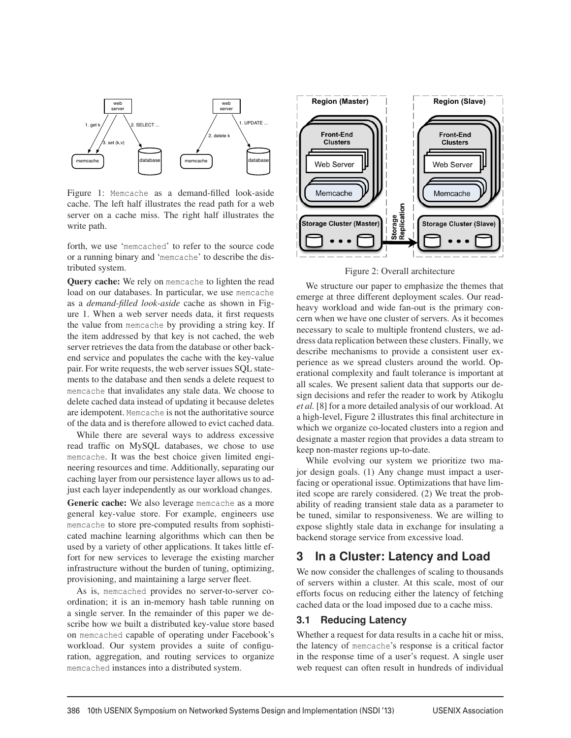

Figure 1: Memcache as a demand-filled look-aside cache. The left half illustrates the read path for a web server on a cache miss. The right half illustrates the write path.

forth, we use 'memcached' to refer to the source code or a running binary and 'memcache' to describe the distributed system.

Query cache: We rely on memcache to lighten the read load on our databases. In particular, we use memcache as a *demand-filled look-aside* cache as shown in Figure 1. When a web server needs data, it first requests the value from memcache by providing a string key. If the item addressed by that key is not cached, the web server retrieves the data from the database or other backend service and populates the cache with the key-value pair. For write requests, the web server issues SQL statements to the database and then sends a delete request to memcache that invalidates any stale data. We choose to delete cached data instead of updating it because deletes are idempotent. Memcache is not the authoritative source of the data and is therefore allowed to evict cached data.

While there are several ways to address excessive read traffic on MySQL databases, we chose to use memcache. It was the best choice given limited engineering resources and time. Additionally, separating our caching layer from our persistence layer allows us to adjust each layer independently as our workload changes.

Generic cache: We also leverage memcache as a more general key-value store. For example, engineers use memcache to store pre-computed results from sophisticated machine learning algorithms which can then be used by a variety of other applications. It takes little effort for new services to leverage the existing marcher infrastructure without the burden of tuning, optimizing, provisioning, and maintaining a large server fleet.

As is, memcached provides no server-to-server coordination; it is an in-memory hash table running on a single server. In the remainder of this paper we describe how we built a distributed key-value store based on memcached capable of operating under Facebook's workload. Our system provides a suite of configuration, aggregation, and routing services to organize memcached instances into a distributed system.



Figure 2: Overall architecture

We structure our paper to emphasize the themes that emerge at three different deployment scales. Our readheavy workload and wide fan-out is the primary concern when we have one cluster of servers. As it becomes necessary to scale to multiple frontend clusters, we address data replication between these clusters. Finally, we describe mechanisms to provide a consistent user experience as we spread clusters around the world. Operational complexity and fault tolerance is important at all scales. We present salient data that supports our design decisions and refer the reader to work by Atikoglu *et al.* [8] for a more detailed analysis of our workload. At a high-level, Figure 2 illustrates this final architecture in which we organize co-located clusters into a region and designate a master region that provides a data stream to keep non-master regions up-to-date.

While evolving our system we prioritize two major design goals. (1) Any change must impact a userfacing or operational issue. Optimizations that have limited scope are rarely considered. (2) We treat the probability of reading transient stale data as a parameter to be tuned, similar to responsiveness. We are willing to expose slightly stale data in exchange for insulating a backend storage service from excessive load.

### **3 In a Cluster: Latency and Load**

We now consider the challenges of scaling to thousands of servers within a cluster. At this scale, most of our efforts focus on reducing either the latency of fetching cached data or the load imposed due to a cache miss.

### **3.1 Reducing Latency**

Whether a request for data results in a cache hit or miss, the latency of memcache's response is a critical factor in the response time of a user's request. A single user web request can often result in hundreds of individual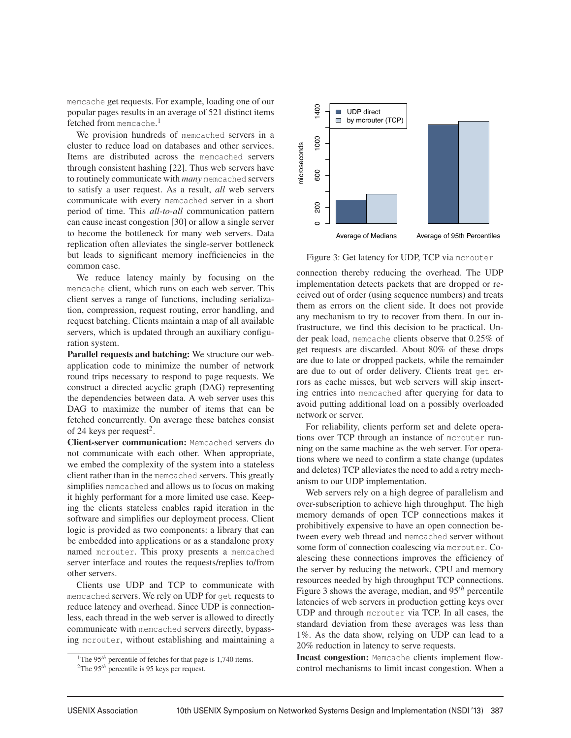memcache get requests. For example, loading one of our popular pages results in an average of 521 distinct items fetched from memcache. 1

We provision hundreds of memcached servers in a cluster to reduce load on databases and other services. Items are distributed across the memcached servers through consistent hashing [22]. Thus web servers have to routinely communicate with *many* memcached servers to satisfy a user request. As a result, *all* web servers communicate with every memcached server in a short period of time. This *all-to-all* communication pattern can cause incast congestion [30] or allow a single server to become the bottleneck for many web servers. Data replication often alleviates the single-server bottleneck but leads to significant memory inefficiencies in the common case.

We reduce latency mainly by focusing on the memcache client, which runs on each web server. This client serves a range of functions, including serialization, compression, request routing, error handling, and request batching. Clients maintain a map of all available servers, which is updated through an auxiliary configuration system.

Parallel requests and batching: We structure our webapplication code to minimize the number of network round trips necessary to respond to page requests. We construct a directed acyclic graph (DAG) representing the dependencies between data. A web server uses this DAG to maximize the number of items that can be fetched concurrently. On average these batches consist of 24 keys per request<sup>2</sup>.

Client-server communication: Memcached servers do not communicate with each other. When appropriate, we embed the complexity of the system into a stateless client rather than in the memcached servers. This greatly simplifies memcached and allows us to focus on making it highly performant for a more limited use case. Keeping the clients stateless enables rapid iteration in the software and simplifies our deployment process. Client logic is provided as two components: a library that can be embedded into applications or as a standalone proxy named mcrouter. This proxy presents a memcached server interface and routes the requests/replies to/from other servers.

Clients use UDP and TCP to communicate with memcached servers. We rely on UDP for get requests to reduce latency and overhead. Since UDP is connectionless, each thread in the web server is allowed to directly communicate with memcached servers directly, bypassing mcrouter, without establishing and maintaining a



Figure 3: Get latency for UDP, TCP via mcrouter

connection thereby reducing the overhead. The UDP implementation detects packets that are dropped or received out of order (using sequence numbers) and treats them as errors on the client side. It does not provide any mechanism to try to recover from them. In our infrastructure, we find this decision to be practical. Under peak load, memcache clients observe that 0.25% of get requests are discarded. About 80% of these drops are due to late or dropped packets, while the remainder are due to out of order delivery. Clients treat get errors as cache misses, but web servers will skip inserting entries into memcached after querying for data to avoid putting additional load on a possibly overloaded network or server.

For reliability, clients perform set and delete operations over TCP through an instance of mcrouter running on the same machine as the web server. For operations where we need to confirm a state change (updates and deletes) TCP alleviates the need to add a retry mechanism to our UDP implementation.

Web servers rely on a high degree of parallelism and over-subscription to achieve high throughput. The high memory demands of open TCP connections makes it prohibitively expensive to have an open connection between every web thread and memcached server without some form of connection coalescing via mcrouter. Coalescing these connections improves the efficiency of the server by reducing the network, CPU and memory resources needed by high throughput TCP connections. Figure 3 shows the average, median, and 95*th* percentile latencies of web servers in production getting keys over UDP and through mcrouter via TCP. In all cases, the standard deviation from these averages was less than 1%. As the data show, relying on UDP can lead to a 20% reduction in latency to serve requests.

Incast congestion: Memcache clients implement flowcontrol mechanisms to limit incast congestion. When a

<sup>&</sup>lt;sup>1</sup>The 95<sup>th</sup> percentile of fetches for that page is 1,740 items.

<sup>2</sup>The 95*th* percentile is 95 keys per request.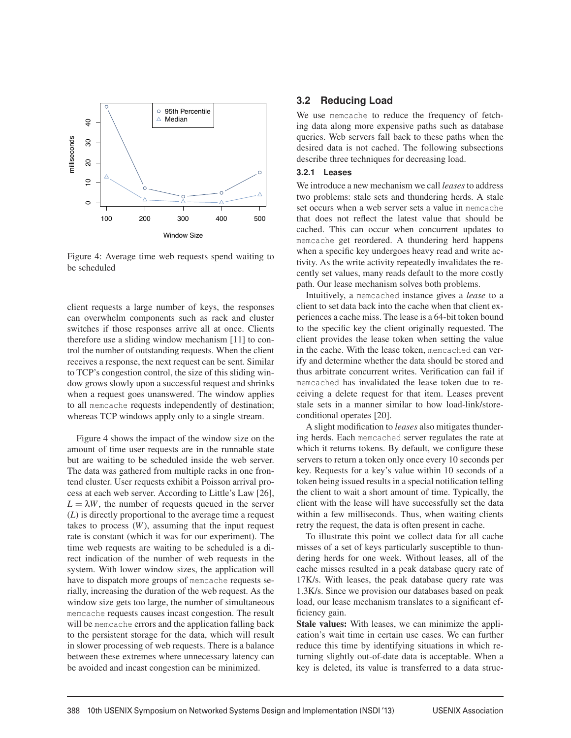

Figure 4: Average time web requests spend waiting to be scheduled

client requests a large number of keys, the responses can overwhelm components such as rack and cluster switches if those responses arrive all at once. Clients therefore use a sliding window mechanism [11] to control the number of outstanding requests. When the client receives a response, the next request can be sent. Similar to TCP's congestion control, the size of this sliding window grows slowly upon a successful request and shrinks when a request goes unanswered. The window applies to all memcache requests independently of destination; whereas TCP windows apply only to a single stream.

Figure 4 shows the impact of the window size on the amount of time user requests are in the runnable state but are waiting to be scheduled inside the web server. The data was gathered from multiple racks in one frontend cluster. User requests exhibit a Poisson arrival process at each web server. According to Little's Law [26],  $L = \lambda W$ , the number of requests queued in the server (*L*) is directly proportional to the average time a request takes to process  $(W)$ , assuming that the input request rate is constant (which it was for our experiment). The time web requests are waiting to be scheduled is a direct indication of the number of web requests in the system. With lower window sizes, the application will have to dispatch more groups of memcache requests serially, increasing the duration of the web request. As the window size gets too large, the number of simultaneous memcache requests causes incast congestion. The result will be memcache errors and the application falling back to the persistent storage for the data, which will result in slower processing of web requests. There is a balance between these extremes where unnecessary latency can be avoided and incast congestion can be minimized.

### **3.2 Reducing Load**

We use memcache to reduce the frequency of fetching data along more expensive paths such as database queries. Web servers fall back to these paths when the desired data is not cached. The following subsections describe three techniques for decreasing load.

#### **3.2.1 Leases**

We introduce a new mechanism we call *leases*to address two problems: stale sets and thundering herds. A stale set occurs when a web server sets a value in memcache that does not reflect the latest value that should be cached. This can occur when concurrent updates to memcache get reordered. A thundering herd happens when a specific key undergoes heavy read and write activity. As the write activity repeatedly invalidates the recently set values, many reads default to the more costly path. Our lease mechanism solves both problems.

Intuitively, a memcached instance gives a *lease* to a client to set data back into the cache when that client experiences a cache miss. The lease is a 64-bit token bound to the specific key the client originally requested. The client provides the lease token when setting the value in the cache. With the lease token, memcached can verify and determine whether the data should be stored and thus arbitrate concurrent writes. Verification can fail if memcached has invalidated the lease token due to receiving a delete request for that item. Leases prevent stale sets in a manner similar to how load-link/storeconditional operates [20].

A slight modification to *leases* also mitigates thundering herds. Each memcached server regulates the rate at which it returns tokens. By default, we configure these servers to return a token only once every 10 seconds per key. Requests for a key's value within 10 seconds of a token being issued results in a special notification telling the client to wait a short amount of time. Typically, the client with the lease will have successfully set the data within a few milliseconds. Thus, when waiting clients retry the request, the data is often present in cache.

To illustrate this point we collect data for all cache misses of a set of keys particularly susceptible to thundering herds for one week. Without leases, all of the cache misses resulted in a peak database query rate of 17K/s. With leases, the peak database query rate was 1.3K/s. Since we provision our databases based on peak load, our lease mechanism translates to a significant efficiency gain.

Stale values: With leases, we can minimize the application's wait time in certain use cases. We can further reduce this time by identifying situations in which returning slightly out-of-date data is acceptable. When a key is deleted, its value is transferred to a data struc-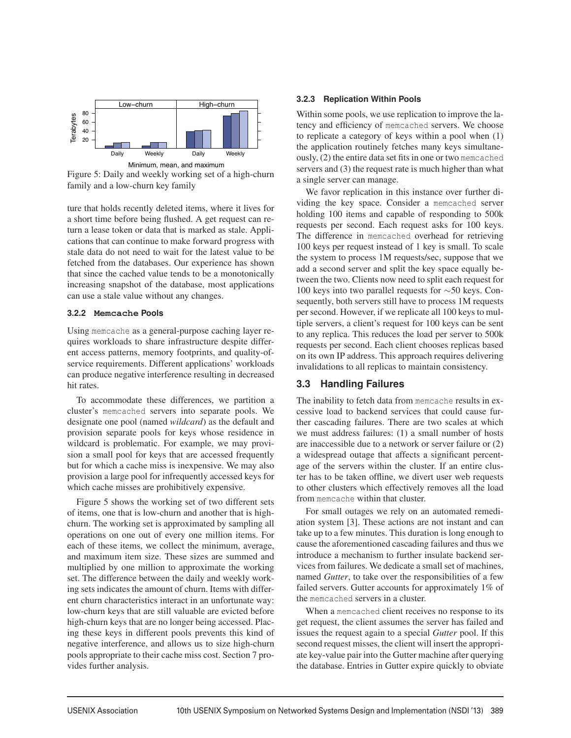

Figure 5: Daily and weekly working set of a high-churn family and a low-churn key family

ture that holds recently deleted items, where it lives for a short time before being flushed. A get request can return a lease token or data that is marked as stale. Applications that can continue to make forward progress with stale data do not need to wait for the latest value to be fetched from the databases. Our experience has shown that since the cached value tends to be a monotonically increasing snapshot of the database, most applications can use a stale value without any changes.

#### **3.2.2 Memcache Pools**

Using memcache as a general-purpose caching layer requires workloads to share infrastructure despite different access patterns, memory footprints, and quality-ofservice requirements. Different applications' workloads can produce negative interference resulting in decreased hit rates.

To accommodate these differences, we partition a cluster's memcached servers into separate pools. We designate one pool (named *wildcard*) as the default and provision separate pools for keys whose residence in wildcard is problematic. For example, we may provision a small pool for keys that are accessed frequently but for which a cache miss is inexpensive. We may also provision a large pool for infrequently accessed keys for which cache misses are prohibitively expensive.

Figure 5 shows the working set of two different sets of items, one that is low-churn and another that is highchurn. The working set is approximated by sampling all operations on one out of every one million items. For each of these items, we collect the minimum, average, and maximum item size. These sizes are summed and multiplied by one million to approximate the working set. The difference between the daily and weekly working sets indicates the amount of churn. Items with different churn characteristics interact in an unfortunate way: low-churn keys that are still valuable are evicted before high-churn keys that are no longer being accessed. Placing these keys in different pools prevents this kind of negative interference, and allows us to size high-churn pools appropriate to their cache miss cost. Section 7 provides further analysis.

#### **3.2.3 Replication Within Pools**

Within some pools, we use replication to improve the latency and efficiency of memcached servers. We choose to replicate a category of keys within a pool when (1) the application routinely fetches many keys simultaneously, (2) the entire data set fits in one or two memcached servers and (3) the request rate is much higher than what a single server can manage.

We favor replication in this instance over further dividing the key space. Consider a memcached server holding 100 items and capable of responding to 500k requests per second. Each request asks for 100 keys. The difference in memcached overhead for retrieving 100 keys per request instead of 1 key is small. To scale the system to process 1M requests/sec, suppose that we add a second server and split the key space equally between the two. Clients now need to split each request for 100 keys into two parallel requests for ∼50 keys. Consequently, both servers still have to process 1M requests per second. However, if we replicate all 100 keys to multiple servers, a client's request for 100 keys can be sent to any replica. This reduces the load per server to 500k requests per second. Each client chooses replicas based on its own IP address. This approach requires delivering invalidations to all replicas to maintain consistency.

### **3.3 Handling Failures**

The inability to fetch data from memcache results in excessive load to backend services that could cause further cascading failures. There are two scales at which we must address failures: (1) a small number of hosts are inaccessible due to a network or server failure or (2) a widespread outage that affects a significant percentage of the servers within the cluster. If an entire cluster has to be taken offline, we divert user web requests to other clusters which effectively removes all the load from memcache within that cluster.

For small outages we rely on an automated remediation system [3]. These actions are not instant and can take up to a few minutes. This duration is long enough to cause the aforementioned cascading failures and thus we introduce a mechanism to further insulate backend services from failures. We dedicate a small set of machines, named *Gutter*, to take over the responsibilities of a few failed servers. Gutter accounts for approximately 1% of the memcached servers in a cluster.

When a memcached client receives no response to its get request, the client assumes the server has failed and issues the request again to a special *Gutter* pool. If this second request misses, the client will insert the appropriate key-value pair into the Gutter machine after querying the database. Entries in Gutter expire quickly to obviate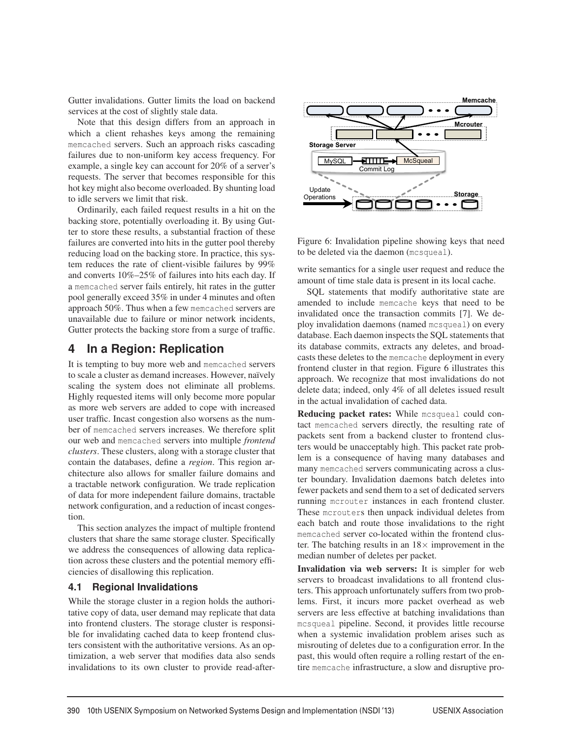Gutter invalidations. Gutter limits the load on backend services at the cost of slightly stale data.

Note that this design differs from an approach in which a client rehashes keys among the remaining memcached servers. Such an approach risks cascading failures due to non-uniform key access frequency. For example, a single key can account for 20% of a server's requests. The server that becomes responsible for this hot key might also become overloaded. By shunting load to idle servers we limit that risk.

Ordinarily, each failed request results in a hit on the backing store, potentially overloading it. By using Gutter to store these results, a substantial fraction of these failures are converted into hits in the gutter pool thereby reducing load on the backing store. In practice, this system reduces the rate of client-visible failures by 99% and converts 10%–25% of failures into hits each day. If a memcached server fails entirely, hit rates in the gutter pool generally exceed 35% in under 4 minutes and often approach 50%. Thus when a few memcached servers are unavailable due to failure or minor network incidents, Gutter protects the backing store from a surge of traffic.

### **4 In a Region: Replication**

It is tempting to buy more web and memcached servers to scale a cluster as demand increases. However, naïvely scaling the system does not eliminate all problems. Highly requested items will only become more popular as more web servers are added to cope with increased user traffic. Incast congestion also worsens as the number of memcached servers increases. We therefore split our web and memcached servers into multiple *frontend clusters*. These clusters, along with a storage cluster that contain the databases, define a *region*. This region architecture also allows for smaller failure domains and a tractable network configuration. We trade replication of data for more independent failure domains, tractable network configuration, and a reduction of incast congestion.

This section analyzes the impact of multiple frontend clusters that share the same storage cluster. Specifically we address the consequences of allowing data replication across these clusters and the potential memory efficiencies of disallowing this replication.

### **4.1 Regional Invalidations**

While the storage cluster in a region holds the authoritative copy of data, user demand may replicate that data into frontend clusters. The storage cluster is responsible for invalidating cached data to keep frontend clusters consistent with the authoritative versions. As an optimization, a web server that modifies data also sends invalidations to its own cluster to provide read-after-



Figure 6: Invalidation pipeline showing keys that need to be deleted via the daemon (mcsqueal).

write semantics for a single user request and reduce the amount of time stale data is present in its local cache.

SQL statements that modify authoritative state are amended to include memcache keys that need to be invalidated once the transaction commits [7]. We deploy invalidation daemons (named mcsqueal) on every database. Each daemon inspects the SQL statements that its database commits, extracts any deletes, and broadcasts these deletes to the memcache deployment in every frontend cluster in that region. Figure 6 illustrates this approach. We recognize that most invalidations do not delete data; indeed, only 4% of all deletes issued result in the actual invalidation of cached data.

Reducing packet rates: While mcsqueal could contact memcached servers directly, the resulting rate of packets sent from a backend cluster to frontend clusters would be unacceptably high. This packet rate problem is a consequence of having many databases and many memcached servers communicating across a cluster boundary. Invalidation daemons batch deletes into fewer packets and send them to a set of dedicated servers running mcrouter instances in each frontend cluster. These mcrouters then unpack individual deletes from each batch and route those invalidations to the right memcached server co-located within the frontend cluster. The batching results in an  $18\times$  improvement in the median number of deletes per packet.

Invalidation via web servers: It is simpler for web servers to broadcast invalidations to all frontend clusters. This approach unfortunately suffers from two problems. First, it incurs more packet overhead as web servers are less effective at batching invalidations than mcsqueal pipeline. Second, it provides little recourse when a systemic invalidation problem arises such as misrouting of deletes due to a configuration error. In the past, this would often require a rolling restart of the entire memcache infrastructure, a slow and disruptive pro-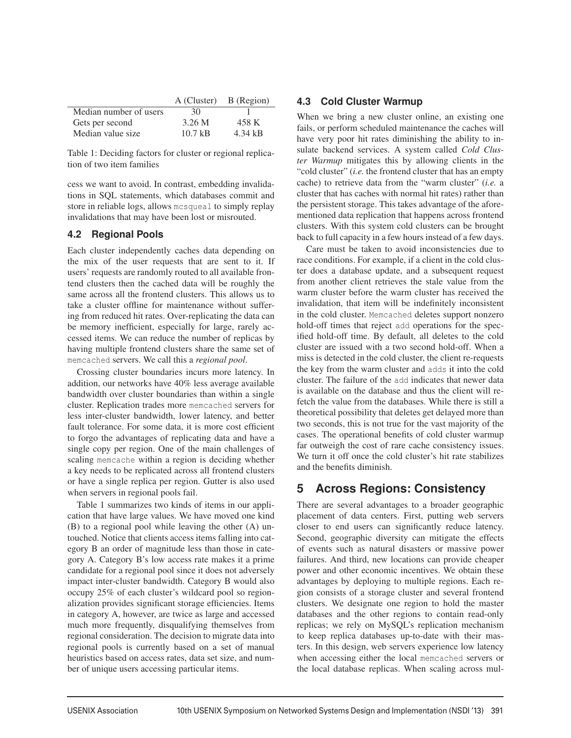|                        | A (Cluster) B (Region) |         |
|------------------------|------------------------|---------|
| Median number of users | 30                     |         |
| Gets per second        | 3.26 M                 | 458 K   |
| Median value size      | 10.7 kB                | 4.34 kB |

Table 1: Deciding factors for cluster or regional replication of two item families

cess we want to avoid. In contrast, embedding invalidations in SQL statements, which databases commit and store in reliable logs, allows mcsqueal to simply replay invalidations that may have been lost or misrouted.

### **4.2 Regional Pools**

Each cluster independently caches data depending on the mix of the user requests that are sent to it. If users' requests are randomly routed to all available frontend clusters then the cached data will be roughly the same across all the frontend clusters. This allows us to take a cluster offline for maintenance without suffering from reduced hit rates. Over-replicating the data can be memory inefficient, especially for large, rarely accessed items. We can reduce the number of replicas by having multiple frontend clusters share the same set of memcached servers. We call this a *regional pool*.

Crossing cluster boundaries incurs more latency. In addition, our networks have 40% less average available bandwidth over cluster boundaries than within a single cluster. Replication trades more memcached servers for less inter-cluster bandwidth, lower latency, and better fault tolerance. For some data, it is more cost efficient to forgo the advantages of replicating data and have a single copy per region. One of the main challenges of scaling memcache within a region is deciding whether a key needs to be replicated across all frontend clusters or have a single replica per region. Gutter is also used when servers in regional pools fail.

Table 1 summarizes two kinds of items in our application that have large values. We have moved one kind (B) to a regional pool while leaving the other (A) untouched. Notice that clients access items falling into category B an order of magnitude less than those in category A. Category B's low access rate makes it a prime candidate for a regional pool since it does not adversely impact inter-cluster bandwidth. Category B would also occupy 25% of each cluster's wildcard pool so regionalization provides significant storage efficiencies. Items in category A, however, are twice as large and accessed much more frequently, disqualifying themselves from regional consideration. The decision to migrate data into regional pools is currently based on a set of manual heuristics based on access rates, data set size, and number of unique users accessing particular items.

### **4.3 Cold Cluster Warmup**

When we bring a new cluster online, an existing one fails, or perform scheduled maintenance the caches will have very poor hit rates diminishing the ability to insulate backend services. A system called *Cold Cluster Warmup* mitigates this by allowing clients in the "cold cluster" (*i.e.* the frontend cluster that has an empty cache) to retrieve data from the "warm cluster" (*i.e.* a cluster that has caches with normal hit rates) rather than the persistent storage. This takes advantage of the aforementioned data replication that happens across frontend clusters. With this system cold clusters can be brought back to full capacity in a few hours instead of a few days.

Care must be taken to avoid inconsistencies due to race conditions. For example, if a client in the cold cluster does a database update, and a subsequent request from another client retrieves the stale value from the warm cluster before the warm cluster has received the invalidation, that item will be indefinitely inconsistent in the cold cluster. Memcached deletes support nonzero hold-off times that reject add operations for the specified hold-off time. By default, all deletes to the cold cluster are issued with a two second hold-off. When a miss is detected in the cold cluster, the client re-requests the key from the warm cluster and adds it into the cold cluster. The failure of the add indicates that newer data is available on the database and thus the client will refetch the value from the databases. While there is still a theoretical possibility that deletes get delayed more than two seconds, this is not true for the vast majority of the cases. The operational benefits of cold cluster warmup far outweigh the cost of rare cache consistency issues. We turn it off once the cold cluster's hit rate stabilizes and the benefits diminish.

# **5 Across Regions: Consistency**

There are several advantages to a broader geographic placement of data centers. First, putting web servers closer to end users can significantly reduce latency. Second, geographic diversity can mitigate the effects of events such as natural disasters or massive power failures. And third, new locations can provide cheaper power and other economic incentives. We obtain these advantages by deploying to multiple regions. Each region consists of a storage cluster and several frontend clusters. We designate one region to hold the master databases and the other regions to contain read-only replicas; we rely on MySQL's replication mechanism to keep replica databases up-to-date with their masters. In this design, web servers experience low latency when accessing either the local memcached servers or the local database replicas. When scaling across mul-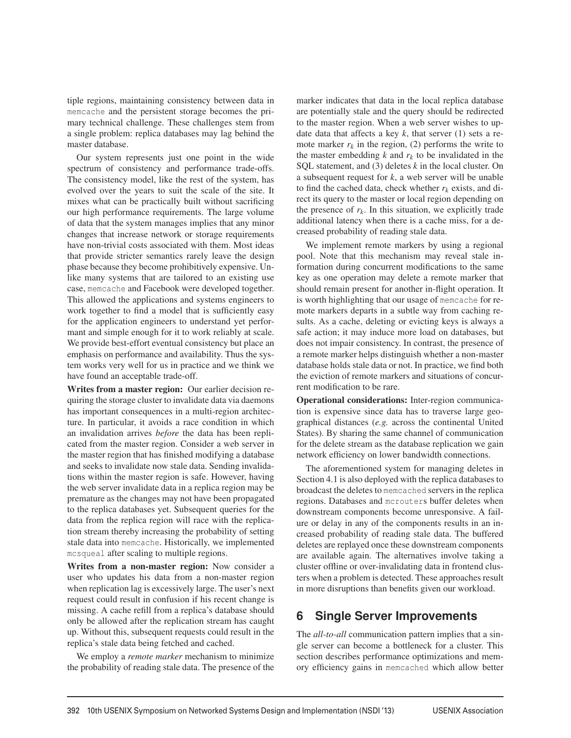tiple regions, maintaining consistency between data in memcache and the persistent storage becomes the primary technical challenge. These challenges stem from a single problem: replica databases may lag behind the master database.

Our system represents just one point in the wide spectrum of consistency and performance trade-offs. The consistency model, like the rest of the system, has evolved over the years to suit the scale of the site. It mixes what can be practically built without sacrificing our high performance requirements. The large volume of data that the system manages implies that any minor changes that increase network or storage requirements have non-trivial costs associated with them. Most ideas that provide stricter semantics rarely leave the design phase because they become prohibitively expensive. Unlike many systems that are tailored to an existing use case, memcache and Facebook were developed together. This allowed the applications and systems engineers to work together to find a model that is sufficiently easy for the application engineers to understand yet performant and simple enough for it to work reliably at scale. We provide best-effort eventual consistency but place an emphasis on performance and availability. Thus the system works very well for us in practice and we think we have found an acceptable trade-off.

Writes from a master region: Our earlier decision requiring the storage cluster to invalidate data via daemons has important consequences in a multi-region architecture. In particular, it avoids a race condition in which an invalidation arrives *before* the data has been replicated from the master region. Consider a web server in the master region that has finished modifying a database and seeks to invalidate now stale data. Sending invalidations within the master region is safe. However, having the web server invalidate data in a replica region may be premature as the changes may not have been propagated to the replica databases yet. Subsequent queries for the data from the replica region will race with the replication stream thereby increasing the probability of setting stale data into memcache. Historically, we implemented mcsqueal after scaling to multiple regions.

Writes from a non-master region: Now consider a user who updates his data from a non-master region when replication lag is excessively large. The user's next request could result in confusion if his recent change is missing. A cache refill from a replica's database should only be allowed after the replication stream has caught up. Without this, subsequent requests could result in the replica's stale data being fetched and cached.

We employ a *remote marker* mechanism to minimize the probability of reading stale data. The presence of the

marker indicates that data in the local replica database are potentially stale and the query should be redirected to the master region. When a web server wishes to update data that affects a key  $k$ , that server  $(1)$  sets a remote marker  $r_k$  in the region, (2) performs the write to the master embedding  $k$  and  $r_k$  to be invalidated in the SQL statement, and (3) deletes *k* in the local cluster. On a subsequent request for *k*, a web server will be unable to find the cached data, check whether  $r_k$  exists, and direct its query to the master or local region depending on the presence of  $r_k$ . In this situation, we explicitly trade additional latency when there is a cache miss, for a decreased probability of reading stale data.

We implement remote markers by using a regional pool. Note that this mechanism may reveal stale information during concurrent modifications to the same key as one operation may delete a remote marker that should remain present for another in-flight operation. It is worth highlighting that our usage of memcache for remote markers departs in a subtle way from caching results. As a cache, deleting or evicting keys is always a safe action; it may induce more load on databases, but does not impair consistency. In contrast, the presence of a remote marker helps distinguish whether a non-master database holds stale data or not. In practice, we find both the eviction of remote markers and situations of concurrent modification to be rare.

Operational considerations: Inter-region communication is expensive since data has to traverse large geographical distances (*e.g.* across the continental United States). By sharing the same channel of communication for the delete stream as the database replication we gain network efficiency on lower bandwidth connections.

The aforementioned system for managing deletes in Section 4.1 is also deployed with the replica databases to broadcast the deletes to memcached servers in the replica regions. Databases and mcrouters buffer deletes when downstream components become unresponsive. A failure or delay in any of the components results in an increased probability of reading stale data. The buffered deletes are replayed once these downstream components are available again. The alternatives involve taking a cluster offline or over-invalidating data in frontend clusters when a problem is detected. These approaches result in more disruptions than benefits given our workload.

## **6 Single Server Improvements**

The *all-to-all* communication pattern implies that a single server can become a bottleneck for a cluster. This section describes performance optimizations and memory efficiency gains in memcached which allow better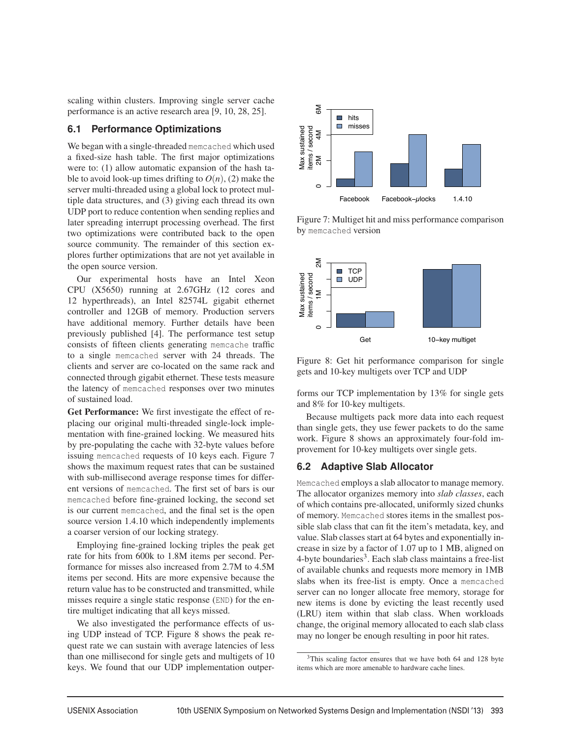scaling within clusters. Improving single server cache performance is an active research area [9, 10, 28, 25].

### **6.1 Performance Optimizations**

We began with a single-threaded memcached which used a fixed-size hash table. The first major optimizations were to: (1) allow automatic expansion of the hash table to avoid look-up times drifting to  $O(n)$ , (2) make the server multi-threaded using a global lock to protect multiple data structures, and (3) giving each thread its own UDP port to reduce contention when sending replies and later spreading interrupt processing overhead. The first two optimizations were contributed back to the open source community. The remainder of this section explores further optimizations that are not yet available in the open source version.

Our experimental hosts have an Intel Xeon CPU (X5650) running at 2.67GHz (12 cores and 12 hyperthreads), an Intel 82574L gigabit ethernet controller and 12GB of memory. Production servers have additional memory. Further details have been previously published [4]. The performance test setup consists of fifteen clients generating memcache traffic to a single memcached server with 24 threads. The clients and server are co-located on the same rack and connected through gigabit ethernet. These tests measure the latency of memcached responses over two minutes of sustained load.

Get Performance: We first investigate the effect of replacing our original multi-threaded single-lock implementation with fine-grained locking. We measured hits by pre-populating the cache with 32-byte values before issuing memcached requests of 10 keys each. Figure 7 shows the maximum request rates that can be sustained with sub-millisecond average response times for different versions of memcached. The first set of bars is our memcached before fine-grained locking, the second set is our current memcached, and the final set is the open source version 1.4.10 which independently implements a coarser version of our locking strategy.

Employing fine-grained locking triples the peak get rate for hits from 600k to 1.8M items per second. Performance for misses also increased from 2.7M to 4.5M items per second. Hits are more expensive because the return value has to be constructed and transmitted, while misses require a single static response (END) for the entire multiget indicating that all keys missed.

We also investigated the performance effects of using UDP instead of TCP. Figure 8 shows the peak request rate we can sustain with average latencies of less than one millisecond for single gets and multigets of 10 keys. We found that our UDP implementation outper-



Figure 7: Multiget hit and miss performance comparison by memcached version



Figure 8: Get hit performance comparison for single gets and 10-key multigets over TCP and UDP

forms our TCP implementation by 13% for single gets and 8% for 10-key multigets.

Because multigets pack more data into each request than single gets, they use fewer packets to do the same work. Figure 8 shows an approximately four-fold improvement for 10-key multigets over single gets.

### **6.2 Adaptive Slab Allocator**

Memcached employs a slab allocator to manage memory. The allocator organizes memory into *slab classes*, each of which contains pre-allocated, uniformly sized chunks of memory. Memcached stores items in the smallest possible slab class that can fit the item's metadata, key, and value. Slab classes start at 64 bytes and exponentially increase in size by a factor of 1.07 up to 1 MB, aligned on  $4$ -byte boundaries<sup>3</sup>. Each slab class maintains a free-list of available chunks and requests more memory in 1MB slabs when its free-list is empty. Once a memcached server can no longer allocate free memory, storage for new items is done by evicting the least recently used (LRU) item within that slab class. When workloads change, the original memory allocated to each slab class may no longer be enough resulting in poor hit rates.

<sup>&</sup>lt;sup>3</sup>This scaling factor ensures that we have both 64 and 128 byte items which are more amenable to hardware cache lines.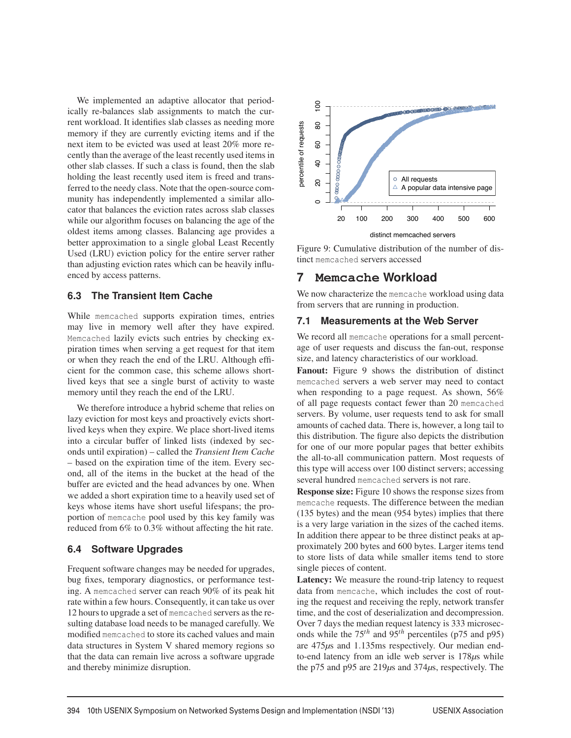We implemented an adaptive allocator that periodically re-balances slab assignments to match the current workload. It identifies slab classes as needing more memory if they are currently evicting items and if the next item to be evicted was used at least 20% more recently than the average of the least recently used items in other slab classes. If such a class is found, then the slab holding the least recently used item is freed and transferred to the needy class. Note that the open-source community has independently implemented a similar allocator that balances the eviction rates across slab classes while our algorithm focuses on balancing the age of the oldest items among classes. Balancing age provides a better approximation to a single global Least Recently Used (LRU) eviction policy for the entire server rather than adjusting eviction rates which can be heavily influenced by access patterns.

### **6.3 The Transient Item Cache**

While memcached supports expiration times, entries may live in memory well after they have expired. Memcached lazily evicts such entries by checking expiration times when serving a get request for that item or when they reach the end of the LRU. Although efficient for the common case, this scheme allows shortlived keys that see a single burst of activity to waste memory until they reach the end of the LRU.

We therefore introduce a hybrid scheme that relies on lazy eviction for most keys and proactively evicts shortlived keys when they expire. We place short-lived items into a circular buffer of linked lists (indexed by seconds until expiration) – called the *Transient Item Cache* – based on the expiration time of the item. Every second, all of the items in the bucket at the head of the buffer are evicted and the head advances by one. When we added a short expiration time to a heavily used set of keys whose items have short useful lifespans; the proportion of memcache pool used by this key family was reduced from 6% to 0.3% without affecting the hit rate.

### **6.4 Software Upgrades**

Frequent software changes may be needed for upgrades, bug fixes, temporary diagnostics, or performance testing. A memcached server can reach 90% of its peak hit rate within a few hours. Consequently, it can take us over 12 hours to upgrade a set of memcached servers as the resulting database load needs to be managed carefully. We modified memcached to store its cached values and main data structures in System V shared memory regions so that the data can remain live across a software upgrade and thereby minimize disruption.



Figure 9: Cumulative distribution of the number of distinct memcached servers accessed

### **7 Memcache Workload**

We now characterize the memcache workload using data from servers that are running in production.

### **7.1 Measurements at the Web Server**

We record all memcache operations for a small percentage of user requests and discuss the fan-out, response size, and latency characteristics of our workload.

Fanout: Figure 9 shows the distribution of distinct memcached servers a web server may need to contact when responding to a page request. As shown, 56% of all page requests contact fewer than 20 memcached servers. By volume, user requests tend to ask for small amounts of cached data. There is, however, a long tail to this distribution. The figure also depicts the distribution for one of our more popular pages that better exhibits the all-to-all communication pattern. Most requests of this type will access over 100 distinct servers; accessing several hundred memcached servers is not rare.

Response size: Figure 10 shows the response sizes from memcache requests. The difference between the median (135 bytes) and the mean (954 bytes) implies that there is a very large variation in the sizes of the cached items. In addition there appear to be three distinct peaks at approximately 200 bytes and 600 bytes. Larger items tend to store lists of data while smaller items tend to store single pieces of content.

Latency: We measure the round-trip latency to request data from memcache, which includes the cost of routing the request and receiving the reply, network transfer time, and the cost of deserialization and decompression. Over 7 days the median request latency is 333 microseconds while the  $75^{th}$  and  $95^{th}$  percentiles (p75 and p95) are 475*μ*s and 1.135ms respectively. Our median endto-end latency from an idle web server is 178*μ*s while the p75 and p95 are 219*μ*s and 374*μ*s, respectively. The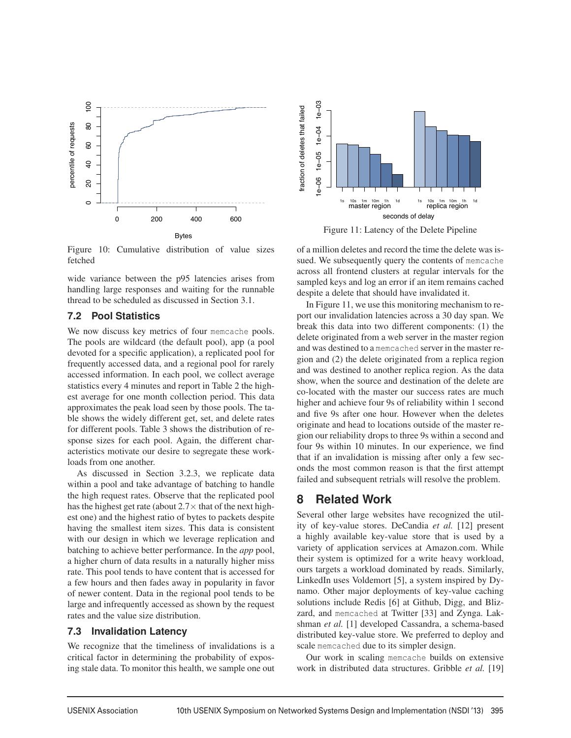

Figure 10: Cumulative distribution of value sizes fetched

wide variance between the p95 latencies arises from handling large responses and waiting for the runnable thread to be scheduled as discussed in Section 3.1.

### **7.2 Pool Statistics**

We now discuss key metrics of four memcache pools. The pools are wildcard (the default pool), app (a pool devoted for a specific application), a replicated pool for frequently accessed data, and a regional pool for rarely accessed information. In each pool, we collect average statistics every 4 minutes and report in Table 2 the highest average for one month collection period. This data approximates the peak load seen by those pools. The table shows the widely different get, set, and delete rates for different pools. Table 3 shows the distribution of response sizes for each pool. Again, the different characteristics motivate our desire to segregate these workloads from one another.

As discussed in Section 3.2.3, we replicate data within a pool and take advantage of batching to handle the high request rates. Observe that the replicated pool has the highest get rate (about  $2.7\times$  that of the next highest one) and the highest ratio of bytes to packets despite having the smallest item sizes. This data is consistent with our design in which we leverage replication and batching to achieve better performance. In the *app* pool, a higher churn of data results in a naturally higher miss rate. This pool tends to have content that is accessed for a few hours and then fades away in popularity in favor of newer content. Data in the regional pool tends to be large and infrequently accessed as shown by the request rates and the value size distribution.

### **7.3 Invalidation Latency**

We recognize that the timeliness of invalidations is a critical factor in determining the probability of exposing stale data. To monitor this health, we sample one out



Figure 11: Latency of the Delete Pipeline

of a million deletes and record the time the delete was issued. We subsequently query the contents of memcache across all frontend clusters at regular intervals for the sampled keys and log an error if an item remains cached despite a delete that should have invalidated it.

In Figure 11, we use this monitoring mechanism to report our invalidation latencies across a 30 day span. We break this data into two different components: (1) the delete originated from a web server in the master region and was destined to a memcached server in the master region and (2) the delete originated from a replica region and was destined to another replica region. As the data show, when the source and destination of the delete are co-located with the master our success rates are much higher and achieve four 9s of reliability within 1 second and five 9s after one hour. However when the deletes originate and head to locations outside of the master region our reliability drops to three 9s within a second and four 9s within 10 minutes. In our experience, we find that if an invalidation is missing after only a few seconds the most common reason is that the first attempt failed and subsequent retrials will resolve the problem.

## **8 Related Work**

Several other large websites have recognized the utility of key-value stores. DeCandia *et al.* [12] present a highly available key-value store that is used by a variety of application services at Amazon.com. While their system is optimized for a write heavy workload, ours targets a workload dominated by reads. Similarly, LinkedIn uses Voldemort [5], a system inspired by Dynamo. Other major deployments of key-value caching solutions include Redis [6] at Github, Digg, and Blizzard, and memcached at Twitter [33] and Zynga. Lakshman *et al.* [1] developed Cassandra, a schema-based distributed key-value store. We preferred to deploy and scale memcached due to its simpler design.

Our work in scaling memcache builds on extensive work in distributed data structures. Gribble *et al.* [19]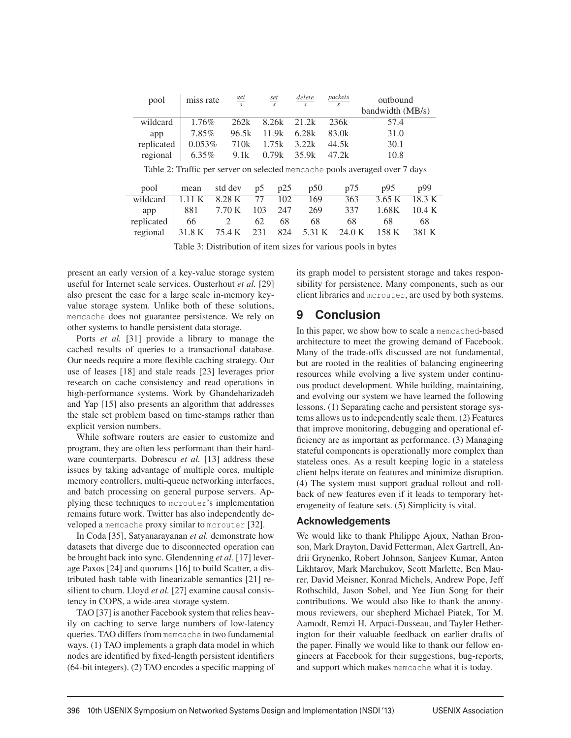| pool                                                                        | miss rate | <u>get</u><br>$\overline{\mathcal{S}}$ |     | <u>set</u><br>S. | delete<br>$\mathcal{S}$ | packets<br>S | outbound         |        |  |  |
|-----------------------------------------------------------------------------|-----------|----------------------------------------|-----|------------------|-------------------------|--------------|------------------|--------|--|--|
|                                                                             |           |                                        |     |                  |                         |              | bandwidth (MB/s) |        |  |  |
| wildcard                                                                    | 1.76%     | 262k                                   |     | 8.26k            | 21.2k                   | 236k         | 57.4             |        |  |  |
| app                                                                         | 7.85%     | 96.5k                                  |     | 11.9k            | 6.28k                   | 83.0k        | 31.0             |        |  |  |
| replicated                                                                  | 0.053%    | 710 <sub>k</sub>                       |     | 1.75k            | 3.22k                   | 44.5k        | 30.1             |        |  |  |
| regional                                                                    | $6.35\%$  | 9.1k                                   |     | 0.79k            | 35.9k                   | 47.2k        | 10.8             |        |  |  |
| Table 2: Traffic per server on selected memcache pools averaged over 7 days |           |                                        |     |                  |                         |              |                  |        |  |  |
| pool                                                                        | mean      | std dev                                | p5  | p25              | p50                     | p75          | p95              | p99    |  |  |
| wildcard                                                                    | 1.11 K    | 8.28 K                                 | 77  | 102              | 169                     | 363          | 3.65 K           | 18.3 K |  |  |
| app                                                                         | 881       | 7.70 K                                 | 103 | 247              | 269                     | 337          | 1.68K            | 10.4 K |  |  |
| replicated                                                                  | 66        | $\overline{c}$                         | 62  | 68               | 68                      | 68           | 68               | 68     |  |  |
| regional                                                                    | 31.8 K    | 75.4 K                                 | 231 | 824              | 5.31 K                  | 24.0 K       | 158 K            | 381 K  |  |  |

Table 3: Distribution of item sizes for various pools in bytes

present an early version of a key-value storage system useful for Internet scale services. Ousterhout *et al.* [29] also present the case for a large scale in-memory keyvalue storage system. Unlike both of these solutions, memcache does not guarantee persistence. We rely on other systems to handle persistent data storage.

Ports *et al.* [31] provide a library to manage the cached results of queries to a transactional database. Our needs require a more flexible caching strategy. Our use of leases [18] and stale reads [23] leverages prior research on cache consistency and read operations in high-performance systems. Work by Ghandeharizadeh and Yap [15] also presents an algorithm that addresses the stale set problem based on time-stamps rather than explicit version numbers.

While software routers are easier to customize and program, they are often less performant than their hardware counterparts. Dobrescu *et al.* [13] address these issues by taking advantage of multiple cores, multiple memory controllers, multi-queue networking interfaces, and batch processing on general purpose servers. Applying these techniques to mcrouter's implementation remains future work. Twitter has also independently developed a memcache proxy similar to mcrouter [32].

In Coda [35], Satyanarayanan *et al.* demonstrate how datasets that diverge due to disconnected operation can be brought back into sync. Glendenning *et al.* [17] leverage Paxos [24] and quorums [16] to build Scatter, a distributed hash table with linearizable semantics [21] resilient to churn. Lloyd *et al.* [27] examine causal consistency in COPS, a wide-area storage system.

TAO [37] is another Facebook system that relies heavily on caching to serve large numbers of low-latency queries. TAO differs from memcache in two fundamental ways. (1) TAO implements a graph data model in which nodes are identified by fixed-length persistent identifiers (64-bit integers). (2) TAO encodes a specific mapping of its graph model to persistent storage and takes responsibility for persistence. Many components, such as our client libraries and mcrouter, are used by both systems.

# **9 Conclusion**

In this paper, we show how to scale a memcached-based architecture to meet the growing demand of Facebook. Many of the trade-offs discussed are not fundamental, but are rooted in the realities of balancing engineering resources while evolving a live system under continuous product development. While building, maintaining, and evolving our system we have learned the following lessons. (1) Separating cache and persistent storage systems allows us to independently scale them. (2) Features that improve monitoring, debugging and operational efficiency are as important as performance. (3) Managing stateful components is operationally more complex than stateless ones. As a result keeping logic in a stateless client helps iterate on features and minimize disruption. (4) The system must support gradual rollout and rollback of new features even if it leads to temporary heterogeneity of feature sets. (5) Simplicity is vital.

### **Acknowledgements**

We would like to thank Philippe Ajoux, Nathan Bronson, Mark Drayton, David Fetterman, Alex Gartrell, Andrii Grynenko, Robert Johnson, Sanjeev Kumar, Anton Likhtarov, Mark Marchukov, Scott Marlette, Ben Maurer, David Meisner, Konrad Michels, Andrew Pope, Jeff Rothschild, Jason Sobel, and Yee Jiun Song for their contributions. We would also like to thank the anonymous reviewers, our shepherd Michael Piatek, Tor M. Aamodt, Remzi H. Arpaci-Dusseau, and Tayler Hetherington for their valuable feedback on earlier drafts of the paper. Finally we would like to thank our fellow engineers at Facebook for their suggestions, bug-reports, and support which makes memcache what it is today.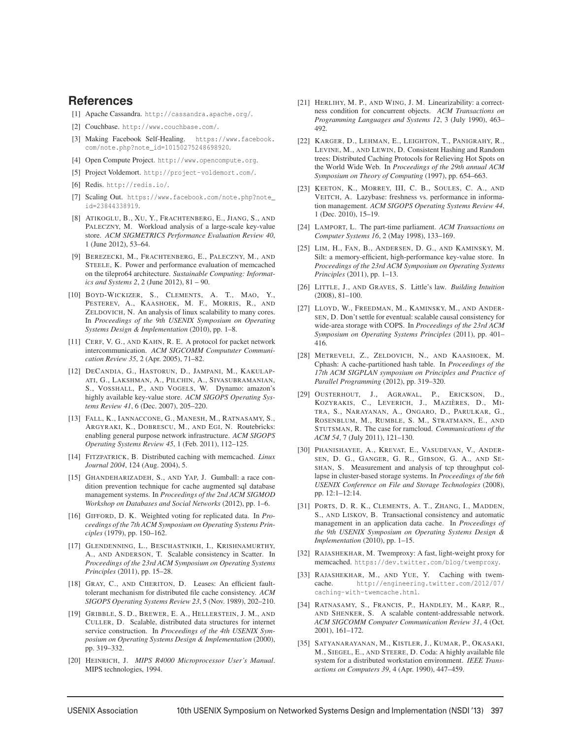### **References**

- [1] Apache Cassandra. http://cassandra.apache.org/.
- [2] Couchbase. http://www.couchbase.com/.
- [3] Making Facebook Self-Healing. https://www.facebook. com/note.php?note\_id=10150275248698920.
- [4] Open Compute Project. http://www.opencompute.org.
- [5] Project Voldemort. http://project-voldemort.com/.
- [6] Redis. http://redis.io/.
- [7] Scaling Out. https://www.facebook.com/note.php?note\_ id=23844338919.
- [8] ATIKOGLU, B., XU, Y., FRACHTENBERG, E., JIANG, S., AND PALECZNY, M. Workload analysis of a large-scale key-value store. *ACM SIGMETRICS Performance Evaluation Review 40*, 1 (June 2012), 53–64.
- [9] BEREZECKI, M., FRACHTENBERG, E., PALECZNY, M., AND STEELE, K. Power and performance evaluation of memcached on the tilepro64 architecture. *Sustainable Computing: Informatics and Systems 2*, 2 (June 2012), 81 – 90.
- [10] BOYD-WICKIZER, S., CLEMENTS, A. T., MAO, Y., PESTEREV, A., KAASHOEK, M. F., MORRIS, R., AND ZELDOVICH, N. An analysis of linux scalability to many cores. In *Proceedings of the 9th USENIX Symposium on Operating Systems Design & Implementation* (2010), pp. 1–8.
- [11] CERF, V. G., AND KAHN, R. E. A protocol for packet network intercommunication. *ACM SIGCOMM Compututer Communication Review 35*, 2 (Apr. 2005), 71–82.
- [12] DECANDIA, G., HASTORUN, D., JAMPANI, M., KAKULAP-ATI, G., LAKSHMAN, A., PILCHIN, A., SIVASUBRAMANIAN, S., VOSSHALL, P., AND VOGELS, W. Dynamo: amazon's highly available key-value store. *ACM SIGOPS Operating Systems Review 41*, 6 (Dec. 2007), 205–220.
- [13] FALL, K., IANNACCONE, G., MANESH, M., RATNASAMY, S., ARGYRAKI, K., DOBRESCU, M., AND EGI, N. Routebricks: enabling general purpose network infrastructure. *ACM SIGOPS Operating Systems Review 45*, 1 (Feb. 2011), 112–125.
- [14] FITZPATRICK, B. Distributed caching with memcached. *Linux Journal 2004*, 124 (Aug. 2004), 5.
- [15] GHANDEHARIZADEH, S., AND YAP, J. Gumball: a race condition prevention technique for cache augmented sql database management systems. In *Proceedings of the 2nd ACM SIGMOD Workshop on Databases and Social Networks* (2012), pp. 1–6.
- [16] GIFFORD, D. K. Weighted voting for replicated data. In *Proceedings of the 7th ACM Symposium on Operating Systems Principles* (1979), pp. 150–162.
- [17] GLENDENNING, L., BESCHASTNIKH, I., KRISHNAMURTHY, A., AND ANDERSON, T. Scalable consistency in Scatter. In *Proceedings of the 23rd ACM Symposium on Operating Systems Principles* (2011), pp. 15–28.
- [18] GRAY, C., AND CHERITON, D. Leases: An efficient faulttolerant mechanism for distributed file cache consistency. *ACM SIGOPS Operating Systems Review 23*, 5 (Nov. 1989), 202–210.
- [19] GRIBBLE, S. D., BREWER, E. A., HELLERSTEIN, J. M., AND CULLER, D. Scalable, distributed data structures for internet service construction. In *Proceedings of the 4th USENIX Symposium on Operating Systems Design & Implementation* (2000), pp. 319–332.
- [20] HEINRICH, J. *MIPS R4000 Microprocessor User's Manual*. MIPS technologies, 1994.
- [21] HERLIHY, M. P., AND WING, J. M. Linearizability: a correctness condition for concurrent objects. *ACM Transactions on Programming Languages and Systems 12*, 3 (July 1990), 463– 492
- [22] KARGER, D., LEHMAN, E., LEIGHTON, T., PANIGRAHY, R., LEVINE, M., AND LEWIN, D. Consistent Hashing and Random trees: Distributed Caching Protocols for Relieving Hot Spots on the World Wide Web. In *Proceedings of the 29th annual ACM Symposium on Theory of Computing* (1997), pp. 654–663.
- [23] KEETON, K., MORREY, III, C. B., SOULES, C. A., AND VEITCH, A. Lazybase: freshness vs. performance in information management. *ACM SIGOPS Operating Systems Review 44*, 1 (Dec. 2010), 15–19.
- [24] LAMPORT, L. The part-time parliament. *ACM Transactions on Computer Systems 16*, 2 (May 1998), 133–169.
- [25] LIM, H., FAN, B., ANDERSEN, D. G., AND KAMINSKY, M. Silt: a memory-efficient, high-performance key-value store. In *Proceedings of the 23rd ACM Symposium on Operating Systems Principles* (2011), pp. 1–13.
- [26] LITTLE, J., AND GRAVES, S. Little's law. *Building Intuition* (2008), 81–100.
- [27] LLOYD, W., FREEDMAN, M., KAMINSKY, M., AND ANDER-SEN, D. Don't settle for eventual: scalable causal consistency for wide-area storage with COPS. In *Proceedings of the 23rd ACM Symposium on Operating Systems Principles* (2011), pp. 401– 416.
- [28] METREVELI, Z., ZELDOVICH, N., AND KAASHOEK, M. Cphash: A cache-partitioned hash table. In *Proceedings of the 17th ACM SIGPLAN symposium on Principles and Practice of Parallel Programming* (2012), pp. 319–320.
- [29] OUSTERHOUT, J., AGRAWAL, P., ERICKSON, D., KOZYRAKIS, C., LEVERICH, J., MAZIÈRES, D., MI-TRA, S., NARAYANAN, A., ONGARO, D., PARULKAR, G., ROSENBLUM, M., RUMBLE, S. M., STRATMANN, E., AND STUTSMAN, R. The case for ramcloud. *Communications of the ACM 54*, 7 (July 2011), 121–130.
- [30] PHANISHAYEE, A., KREVAT, E., VASUDEVAN, V., ANDER-SEN, D. G., GANGER, G. R., GIBSON, G. A., AND SE-SHAN, S. Measurement and analysis of tcp throughput collapse in cluster-based storage systems. In *Proceedings of the 6th USENIX Conference on File and Storage Technologies* (2008), pp. 12:1–12:14.
- [31] PORTS, D. R. K., CLEMENTS, A. T., ZHANG, I., MADDEN, S., AND LISKOV, B. Transactional consistency and automatic management in an application data cache. In *Proceedings of the 9th USENIX Symposium on Operating Systems Design & Implementation* (2010), pp. 1–15.
- [32] RAJASHEKHAR, M. Twemproxy: A fast, light-weight proxy for memcached. https://dev.twitter.com/blog/twemproxy.
- [33] RAJASHEKHAR, M., AND YUE, Y. Caching with twemcache. http://engineering.twitter.com/2012/07/ caching-with-twemcache.html.
- [34] RATNASAMY, S., FRANCIS, P., HANDLEY, M., KARP, R., AND SHENKER, S. A scalable content-addressable network. *ACM SIGCOMM Computer Communication Review 31*, 4 (Oct. 2001), 161–172.
- [35] SATYANARAYANAN, M., KISTLER, J., KUMAR, P., OKASAKI, M., SIEGEL, E., AND STEERE, D. Coda: A highly available file system for a distributed workstation environment. *IEEE Transactions on Computers 39*, 4 (Apr. 1990), 447–459.